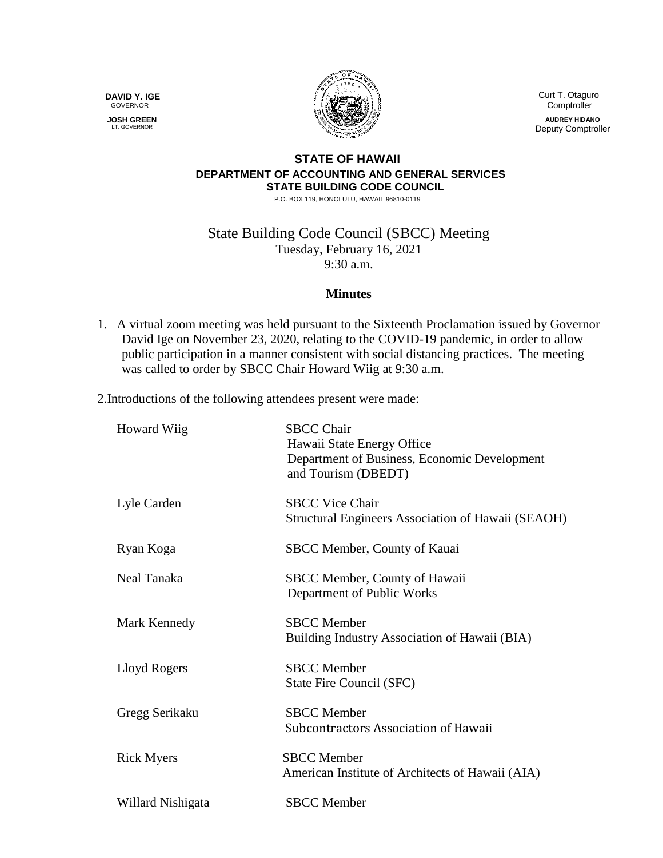**DAVID Y. IGE** GOVERNOR

 **JOSH GREEN** LT. GOVERNOR



 Curt T. Otaguro **Comptroller** 

**AUDREY HIDANO** Deputy Comptroller

## **STATE OF HAWAII DEPARTMENT OF ACCOUNTING AND GENERAL SERVICES STATE BUILDING CODE COUNCIL**

P.O. BOX 119, HONOLULU, HAWAII 96810-0119

State Building Code Council (SBCC) Meeting Tuesday, February 16, 2021 9:30 a.m.

## **Minutes**

1. A virtual zoom meeting was held pursuant to the Sixteenth Proclamation issued by Governor David Ige on November 23, 2020, relating to the COVID-19 pandemic, in order to allow public participation in a manner consistent with social distancing practices. The meeting was called to order by SBCC Chair Howard Wiig at 9:30 a.m.

2.Introductions of the following attendees present were made:

| <b>Howard Wiig</b> | <b>SBCC Chair</b><br>Hawaii State Energy Office<br>Department of Business, Economic Development<br>and Tourism (DBEDT) |
|--------------------|------------------------------------------------------------------------------------------------------------------------|
| Lyle Carden        | <b>SBCC Vice Chair</b><br>Structural Engineers Association of Hawaii (SEAOH)                                           |
| Ryan Koga          | SBCC Member, County of Kauai                                                                                           |
| Neal Tanaka        | SBCC Member, County of Hawaii<br>Department of Public Works                                                            |
| Mark Kennedy       | <b>SBCC</b> Member<br>Building Industry Association of Hawaii (BIA)                                                    |
| Lloyd Rogers       | <b>SBCC</b> Member<br>State Fire Council (SFC)                                                                         |
| Gregg Serikaku     | <b>SBCC</b> Member<br>Subcontractors Association of Hawaii                                                             |
| <b>Rick Myers</b>  | <b>SBCC</b> Member<br>American Institute of Architects of Hawaii (AIA)                                                 |
| Willard Nishigata  | <b>SBCC</b> Member                                                                                                     |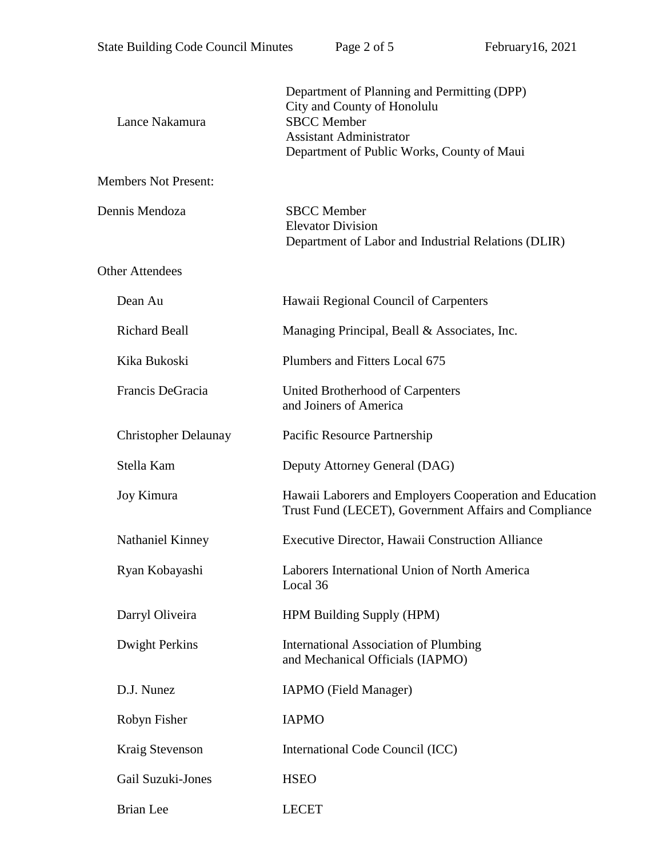| Lance Nakamura              | Department of Planning and Permitting (DPP)<br>City and County of Honolulu<br><b>SBCC</b> Member<br><b>Assistant Administrator</b><br>Department of Public Works, County of Maui |
|-----------------------------|----------------------------------------------------------------------------------------------------------------------------------------------------------------------------------|
| <b>Members Not Present:</b> |                                                                                                                                                                                  |
| Dennis Mendoza              | <b>SBCC</b> Member<br><b>Elevator Division</b><br>Department of Labor and Industrial Relations (DLIR)                                                                            |
| <b>Other Attendees</b>      |                                                                                                                                                                                  |
| Dean Au                     | Hawaii Regional Council of Carpenters                                                                                                                                            |
| <b>Richard Beall</b>        | Managing Principal, Beall & Associates, Inc.                                                                                                                                     |
| Kika Bukoski                | Plumbers and Fitters Local 675                                                                                                                                                   |
| Francis DeGracia            | United Brotherhood of Carpenters<br>and Joiners of America                                                                                                                       |
| <b>Christopher Delaunay</b> | Pacific Resource Partnership                                                                                                                                                     |
| Stella Kam                  | Deputy Attorney General (DAG)                                                                                                                                                    |
| Joy Kimura                  | Hawaii Laborers and Employers Cooperation and Education<br>Trust Fund (LECET), Government Affairs and Compliance                                                                 |
| Nathaniel Kinney            | Executive Director, Hawaii Construction Alliance                                                                                                                                 |
| Ryan Kobayashi              | Laborers International Union of North America<br>Local 36                                                                                                                        |
| Darryl Oliveira             | HPM Building Supply (HPM)                                                                                                                                                        |
| Dwight Perkins              | <b>International Association of Plumbing</b><br>and Mechanical Officials (IAPMO)                                                                                                 |
| D.J. Nunez                  | IAPMO (Field Manager)                                                                                                                                                            |
| Robyn Fisher                | <b>IAPMO</b>                                                                                                                                                                     |
| Kraig Stevenson             | International Code Council (ICC)                                                                                                                                                 |
| Gail Suzuki-Jones           | <b>HSEO</b>                                                                                                                                                                      |
| <b>Brian</b> Lee            | <b>LECET</b>                                                                                                                                                                     |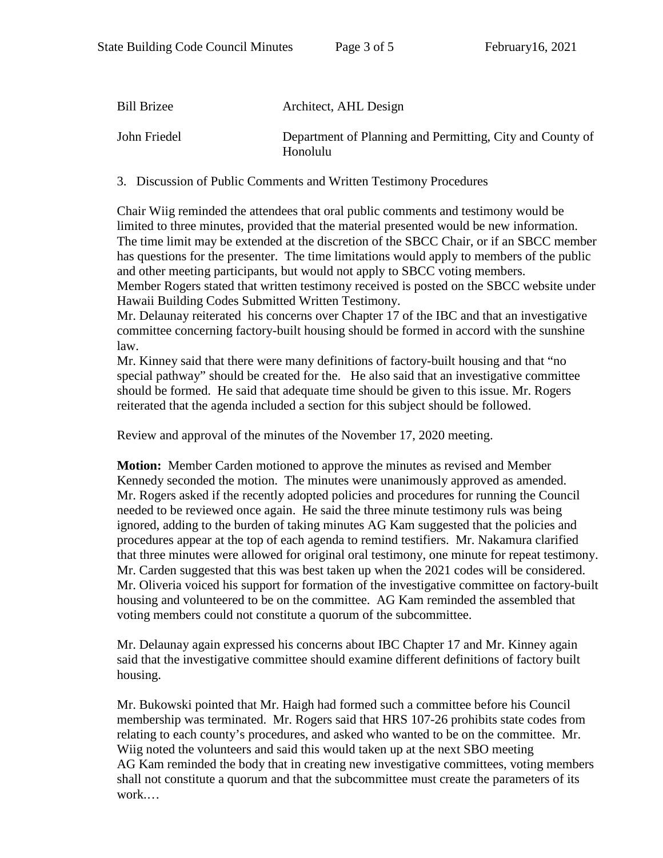| <b>Bill Brizee</b> | Architect, AHL Design                                                 |
|--------------------|-----------------------------------------------------------------------|
| John Friedel       | Department of Planning and Permitting, City and County of<br>Honolulu |

3. Discussion of Public Comments and Written Testimony Procedures

Chair Wiig reminded the attendees that oral public comments and testimony would be limited to three minutes, provided that the material presented would be new information. The time limit may be extended at the discretion of the SBCC Chair, or if an SBCC member has questions for the presenter. The time limitations would apply to members of the public and other meeting participants, but would not apply to SBCC voting members.

Member Rogers stated that written testimony received is posted on the SBCC website under Hawaii Building Codes Submitted Written Testimony.

Mr. Delaunay reiterated his concerns over Chapter 17 of the IBC and that an investigative committee concerning factory-built housing should be formed in accord with the sunshine law.

Mr. Kinney said that there were many definitions of factory-built housing and that "no special pathway" should be created for the. He also said that an investigative committee should be formed. He said that adequate time should be given to this issue. Mr. Rogers reiterated that the agenda included a section for this subject should be followed.

Review and approval of the minutes of the November 17, 2020 meeting.

**Motion:** Member Carden motioned to approve the minutes as revised and Member Kennedy seconded the motion. The minutes were unanimously approved as amended. Mr. Rogers asked if the recently adopted policies and procedures for running the Council needed to be reviewed once again. He said the three minute testimony ruls was being ignored, adding to the burden of taking minutes AG Kam suggested that the policies and procedures appear at the top of each agenda to remind testifiers. Mr. Nakamura clarified that three minutes were allowed for original oral testimony, one minute for repeat testimony. Mr. Carden suggested that this was best taken up when the 2021 codes will be considered. Mr. Oliveria voiced his support for formation of the investigative committee on factory-built housing and volunteered to be on the committee. AG Kam reminded the assembled that voting members could not constitute a quorum of the subcommittee.

Mr. Delaunay again expressed his concerns about IBC Chapter 17 and Mr. Kinney again said that the investigative committee should examine different definitions of factory built housing.

Mr. Bukowski pointed that Mr. Haigh had formed such a committee before his Council membership was terminated. Mr. Rogers said that HRS 107-26 prohibits state codes from relating to each county's procedures, and asked who wanted to be on the committee. Mr. Wiig noted the volunteers and said this would taken up at the next SBO meeting AG Kam reminded the body that in creating new investigative committees, voting members shall not constitute a quorum and that the subcommittee must create the parameters of its work.…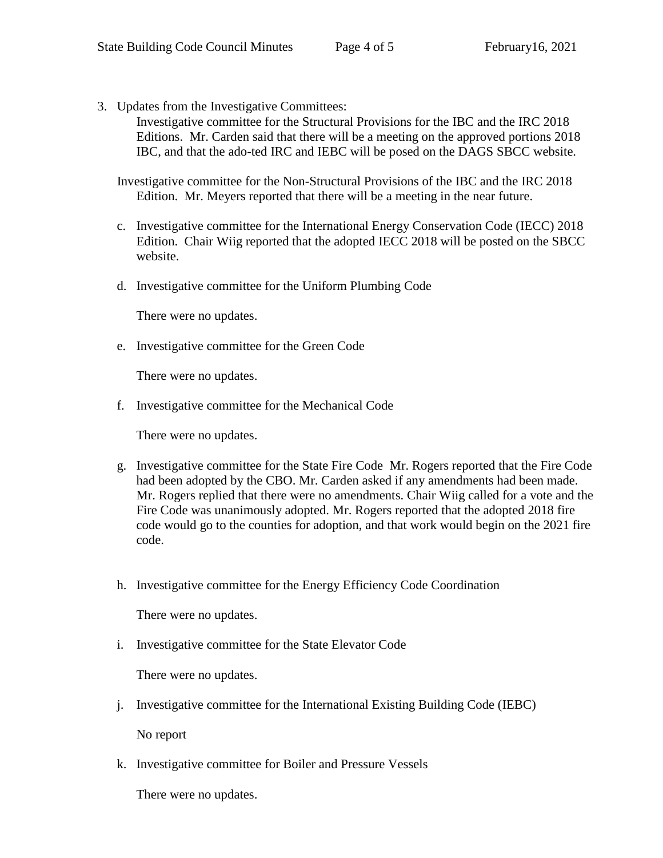3. Updates from the Investigative Committees:

Investigative committee for the Structural Provisions for the IBC and the IRC 2018 Editions. Mr. Carden said that there will be a meeting on the approved portions 2018 IBC, and that the ado-ted IRC and IEBC will be posed on the DAGS SBCC website.

Investigative committee for the Non-Structural Provisions of the IBC and the IRC 2018 Edition. Mr. Meyers reported that there will be a meeting in the near future.

- c. Investigative committee for the International Energy Conservation Code (IECC) 2018 Edition. Chair Wiig reported that the adopted IECC 2018 will be posted on the SBCC website.
- d. Investigative committee for the Uniform Plumbing Code

There were no updates.

e. Investigative committee for the Green Code

There were no updates.

f. Investigative committee for the Mechanical Code

There were no updates.

- g. Investigative committee for the State Fire Code Mr. Rogers reported that the Fire Code had been adopted by the CBO. Mr. Carden asked if any amendments had been made. Mr. Rogers replied that there were no amendments. Chair Wiig called for a vote and the Fire Code was unanimously adopted. Mr. Rogers reported that the adopted 2018 fire code would go to the counties for adoption, and that work would begin on the 2021 fire code.
- h. Investigative committee for the Energy Efficiency Code Coordination

There were no updates.

i. Investigative committee for the State Elevator Code

There were no updates.

j. Investigative committee for the International Existing Building Code (IEBC)

No report

k. Investigative committee for Boiler and Pressure Vessels

There were no updates.